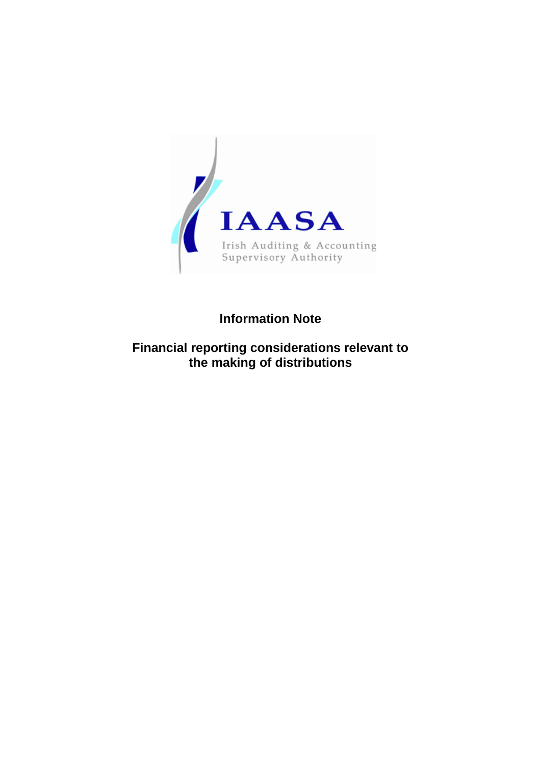

# **Information Note**

**Financial reporting considerations relevant to the making of distributions**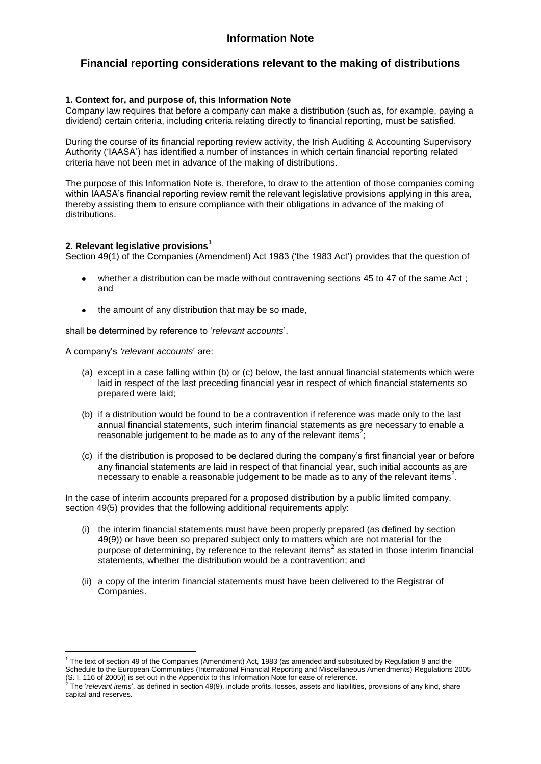### **Financial reporting considerations relevant to the making of distributions**

### **1. Context for, and purpose of, this Information Note**

Company law requires that before a company can make a distribution (such as, for example, paying a dividend) certain criteria, including criteria relating directly to financial reporting, must be satisfied.

During the course of its financial reporting review activity, the Irish Auditing & Accounting Supervisory Authority ("IAASA") has identified a number of instances in which certain financial reporting related criteria have not been met in advance of the making of distributions.

The purpose of this Information Note is, therefore, to draw to the attention of those companies coming within IAASA's financial reporting review remit the relevant legislative provisions applying in this area, thereby assisting them to ensure compliance with their obligations in advance of the making of distributions.

#### **2. Relevant legislative provisions<sup>1</sup>**

Section 49(1) of the Companies (Amendment) Act 1983 ('the 1983 Act') provides that the question of

- whether a distribution can be made without contravening sections 45 to 47 of the same Act ; and
- the amount of any distribution that may be so made,

shall be determined by reference to "*relevant accounts*".

A company"s *'relevant accounts*" are:

1

- (a) except in a case falling within (b) or (c) below, the last annual financial statements which were laid in respect of the last preceding financial year in respect of which financial statements so prepared were laid;
- <span id="page-1-0"></span>(b) if a distribution would be found to be a contravention if reference was made only to the last annual financial statements, such interim financial statements as are necessary to enable a reasonable judgement to be made as to any of the relevant items<sup>2</sup>;
- (c) if the distribution is proposed to be declared during the company"s first financial year or before any financial statements are laid in respect of that financial year, such initial accounts as are nece[s](#page-1-0)sary to enable a reasonable judgement to be made as to any of the relevant items<sup>2</sup>.

In the case of interim accounts prepared for a proposed distribution by a public limited company, section 49(5) provides that the following additional requirements apply:

- (i) the interim financial statements must have been properly prepared (as defined by section 49(9)) or have been so prepared subject only to matters which are not material for the purpo[s](#page-1-0)e of determining, by reference to the relevant items<sup>2</sup> as stated in those interim financial statements, whether the distribution would be a contravention; and
- (ii) a copy of the interim financial statements must have been delivered to the Registrar of Companies.

<sup>&</sup>lt;sup>1</sup> The text of section 49 of the Companies (Amendment) Act, 1983 (as amended and substituted by Regulation 9 and the Schedule to the European Communities (International Financial Reporting and Miscellaneous Amendments) Regulations 2005

<sup>(</sup>S. I. 116 of 2005)) is set out in the Appendix to this Information Note for ease of reference.<br><sup>2</sup> The '*relevant items*', as defined in section 49(9), include profits, losses, assets and liabilities, provisions of any ki capital and reserves.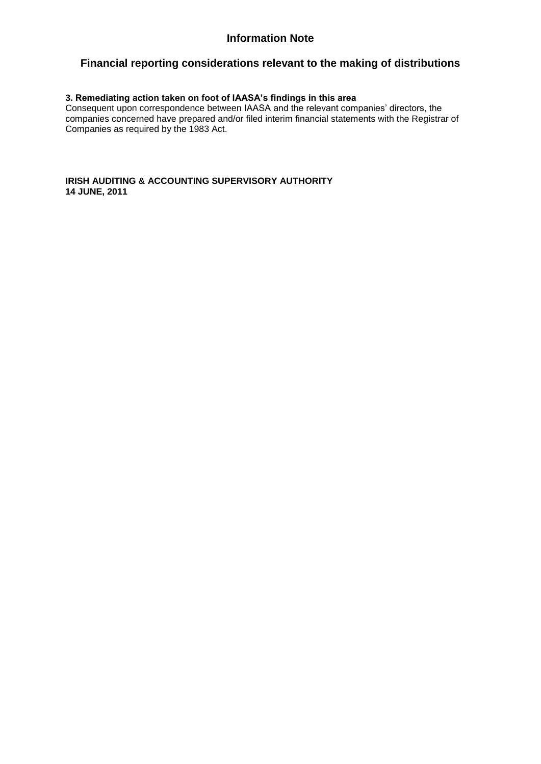## **Financial reporting considerations relevant to the making of distributions**

### **3. Remediating action taken on foot of IAASA's findings in this area**

Consequent upon correspondence between IAASA and the relevant companies" directors, the companies concerned have prepared and/or filed interim financial statements with the Registrar of Companies as required by the 1983 Act.

### **IRISH AUDITING & ACCOUNTING SUPERVISORY AUTHORITY 14 JUNE, 2011**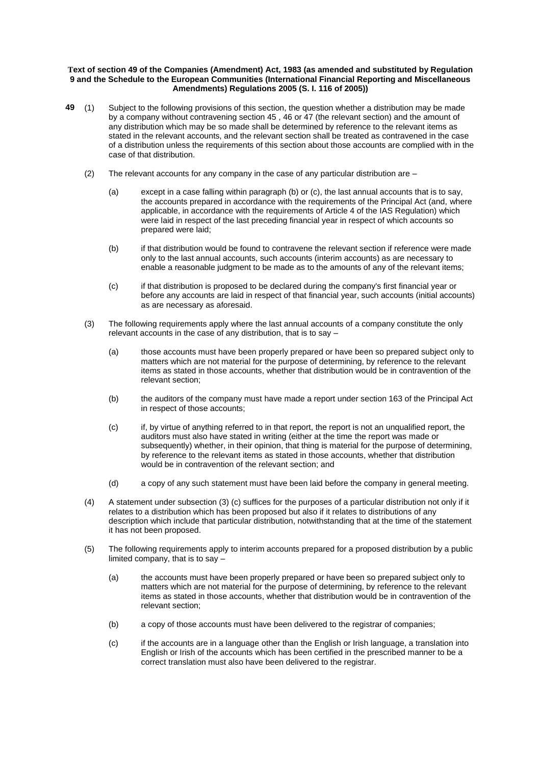#### **Text of section 49 of the Companies (Amendment) Act, 1983 (as amended and substituted by Regulation 9 and the Schedule to the European Communities (International Financial Reporting and Miscellaneous Amendments) Regulations 2005 (S. I. 116 of 2005))**

- **49** (1) Subject to the following provisions of this section, the question whether a distribution may be made by a company without contravening section 45 , 46 or 47 (the relevant section) and the amount of any distribution which may be so made shall be determined by reference to the relevant items as stated in the relevant accounts, and the relevant section shall be treated as contravened in the case of a distribution unless the requirements of this section about those accounts are complied with in the case of that distribution.
	- (2) The relevant accounts for any company in the case of any particular distribution are
		- (a) except in a case falling within paragraph (b) or (c), the last annual accounts that is to say, the accounts prepared in accordance with the requirements of the Principal Act (and, where applicable, in accordance with the requirements of Article 4 of the IAS Regulation) which were laid in respect of the last preceding financial year in respect of which accounts so prepared were laid;
		- (b) if that distribution would be found to contravene the relevant section if reference were made only to the last annual accounts, such accounts (interim accounts) as are necessary to enable a reasonable judgment to be made as to the amounts of any of the relevant items;
		- (c) if that distribution is proposed to be declared during the company's first financial year or before any accounts are laid in respect of that financial year, such accounts (initial accounts) as are necessary as aforesaid.
	- (3) The following requirements apply where the last annual accounts of a company constitute the only relevant accounts in the case of any distribution, that is to say –
		- (a) those accounts must have been properly prepared or have been so prepared subject only to matters which are not material for the purpose of determining, by reference to the relevant items as stated in those accounts, whether that distribution would be in contravention of the relevant section;
		- (b) the auditors of the company must have made a report under section 163 of the Principal Act in respect of those accounts;
		- (c) if, by virtue of anything referred to in that report, the report is not an unqualified report, the auditors must also have stated in writing (either at the time the report was made or subsequently) whether, in their opinion, that thing is material for the purpose of determining, by reference to the relevant items as stated in those accounts, whether that distribution would be in contravention of the relevant section; and
		- (d) a copy of any such statement must have been laid before the company in general meeting.
	- (4) A statement under subsection (3) (c) suffices for the purposes of a particular distribution not only if it relates to a distribution which has been proposed but also if it relates to distributions of any description which include that particular distribution, notwithstanding that at the time of the statement it has not been proposed.
	- (5) The following requirements apply to interim accounts prepared for a proposed distribution by a public limited company, that is to say –
		- (a) the accounts must have been properly prepared or have been so prepared subject only to matters which are not material for the purpose of determining, by reference to the relevant items as stated in those accounts, whether that distribution would be in contravention of the relevant section;
		- (b) a copy of those accounts must have been delivered to the registrar of companies;
		- (c) if the accounts are in a language other than the English or Irish language, a translation into English or Irish of the accounts which has been certified in the prescribed manner to be a correct translation must also have been delivered to the registrar.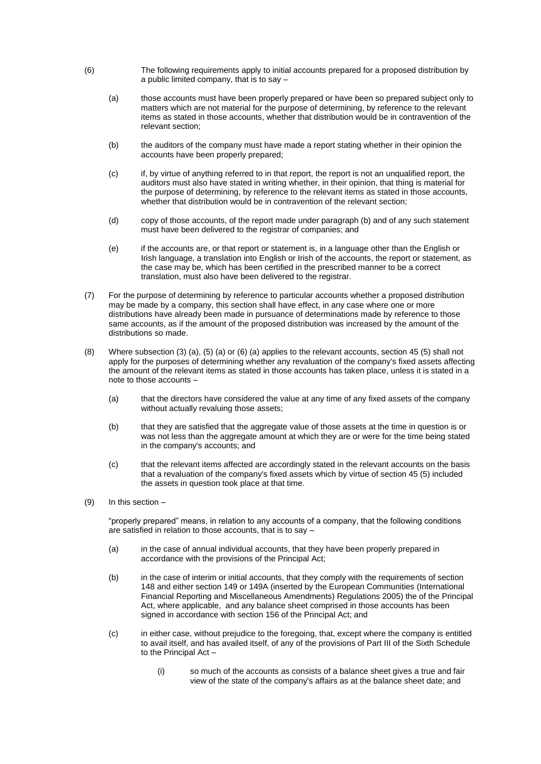- (6) The following requirements apply to initial accounts prepared for a proposed distribution by a public limited company, that is to say –
	- (a) those accounts must have been properly prepared or have been so prepared subject only to matters which are not material for the purpose of determining, by reference to the relevant items as stated in those accounts, whether that distribution would be in contravention of the relevant section;
	- (b) the auditors of the company must have made a report stating whether in their opinion the accounts have been properly prepared;
	- (c) if, by virtue of anything referred to in that report, the report is not an unqualified report, the auditors must also have stated in writing whether, in their opinion, that thing is material for the purpose of determining, by reference to the relevant items as stated in those accounts, whether that distribution would be in contravention of the relevant section;
	- (d) copy of those accounts, of the report made under paragraph (b) and of any such statement must have been delivered to the registrar of companies; and
	- (e) if the accounts are, or that report or statement is, in a language other than the English or Irish language, a translation into English or Irish of the accounts, the report or statement, as the case may be, which has been certified in the prescribed manner to be a correct translation, must also have been delivered to the registrar.
- (7) For the purpose of determining by reference to particular accounts whether a proposed distribution may be made by a company, this section shall have effect, in any case where one or more distributions have already been made in pursuance of determinations made by reference to those same accounts, as if the amount of the proposed distribution was increased by the amount of the distributions so made.
- (8) Where subsection (3) (a), (5) (a) or (6) (a) applies to the relevant accounts, section 45 (5) shall not apply for the purposes of determining whether any revaluation of the company's fixed assets affecting the amount of the relevant items as stated in those accounts has taken place, unless it is stated in a note to those accounts –
	- (a) that the directors have considered the value at any time of any fixed assets of the company without actually revaluing those assets;
	- (b) that they are satisfied that the aggregate value of those assets at the time in question is or was not less than the aggregate amount at which they are or were for the time being stated in the company's accounts; and
	- (c) that the relevant items affected are accordingly stated in the relevant accounts on the basis that a revaluation of the company's fixed assets which by virtue of section 45 (5) included the assets in question took place at that time.
- (9) In this section –

"properly prepared" means, in relation to any accounts of a company, that the following conditions are satisfied in relation to those accounts, that is to say –

- (a) in the case of annual individual accounts, that they have been properly prepared in accordance with the provisions of the Principal Act;
- (b) in the case of interim or initial accounts, that they comply with the requirements of section 148 and either section 149 or 149A (inserted by the European Communities (International Financial Reporting and Miscellaneous Amendments) Regulations 2005) the of the Principal Act, where applicable, and any balance sheet comprised in those accounts has been signed in accordance with section 156 of the Principal Act; and
- (c) in either case, without prejudice to the foregoing, that, except where the company is entitled to avail itself, and has availed itself, of any of the provisions of Part III of the Sixth Schedule to the Principal Act –
	- (i) so much of the accounts as consists of a balance sheet gives a true and fair view of the state of the company's affairs as at the balance sheet date; and